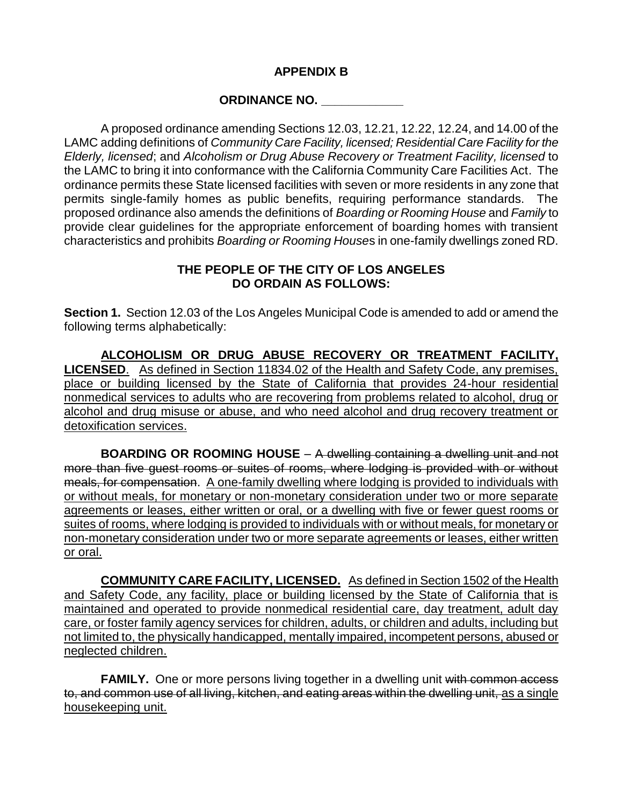## **APPENDIX B**

## **ORDINANCE NO. \_\_\_\_\_\_\_\_\_\_\_\_**

A proposed ordinance amending Sections 12.03, 12.21, 12.22, 12.24, and 14.00 of the LAMC adding definitions of *Community Care Facility, licensed; Residential Care Facility for the Elderly, licensed*; and *Alcoholism or Drug Abuse Recovery or Treatment Facility, licensed* to the LAMC to bring it into conformance with the California Community Care Facilities Act. The ordinance permits these State licensed facilities with seven or more residents in any zone that permits single-family homes as public benefits, requiring performance standards. The proposed ordinance also amends the definitions of *Boarding or Rooming House* and *Family* to provide clear guidelines for the appropriate enforcement of boarding homes with transient characteristics and prohibits *Boarding or Rooming House*s in one-family dwellings zoned RD.

## **THE PEOPLE OF THE CITY OF LOS ANGELES DO ORDAIN AS FOLLOWS:**

**Section 1.** Section 12.03 of the Los Angeles Municipal Code is amended to add or amend the following terms alphabetically:

**ALCOHOLISM OR DRUG ABUSE RECOVERY OR TREATMENT FACILITY, LICENSED**. As defined in Section 11834.02 of the Health and Safety Code, any premises, place or building licensed by the State of California that provides 24-hour residential nonmedical services to adults who are recovering from problems related to alcohol, drug or alcohol and drug misuse or abuse, and who need alcohol and drug recovery treatment or detoxification services.

**BOARDING OR ROOMING HOUSE** – A dwelling containing a dwelling unit and not more than five guest rooms or suites of rooms, where lodging is provided with or without meals, for compensation. A one-family dwelling where lodging is provided to individuals with or without meals, for monetary or non-monetary consideration under two or more separate agreements or leases, either written or oral, or a dwelling with five or fewer guest rooms or suites of rooms, where lodging is provided to individuals with or without meals, for monetary or non-monetary consideration under two or more separate agreements or leases, either written or oral.

**COMMUNITY CARE FACILITY, LICENSED.** As defined in Section 1502 of the Health and Safety Code, any facility, place or building licensed by the State of California that is maintained and operated to provide nonmedical residential care, day treatment, adult day care, or foster family agency services for children, adults, or children and adults, including but not limited to, the physically handicapped, mentally impaired, incompetent persons, abused or neglected children.

**FAMILY.** One or more persons living together in a dwelling unit with common access to, and common use of all living, kitchen, and eating areas within the dwelling unit, as a single housekeeping unit.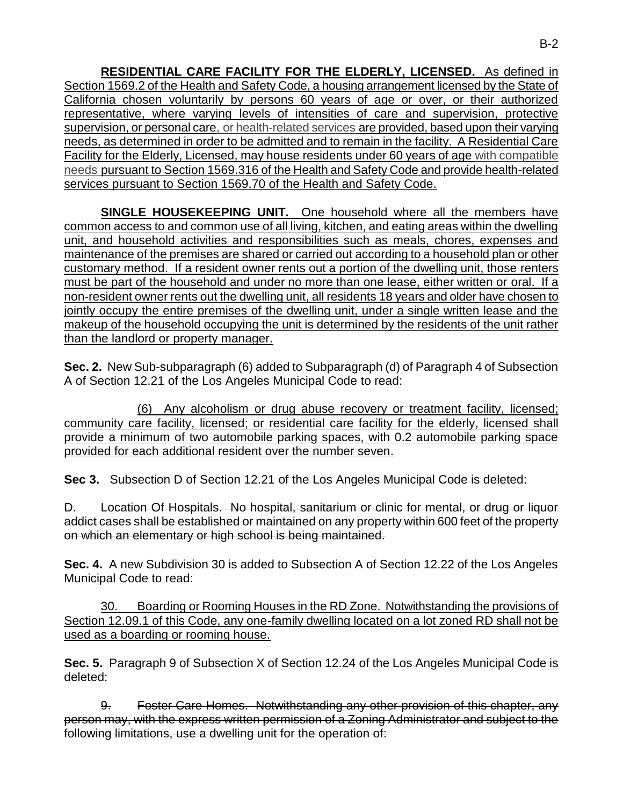**RESIDENTIAL CARE FACILITY FOR THE ELDERLY, LICENSED.** As defined in Section 1569.2 of the Health and Safety Code, a housing arrangement licensed by the State of California chosen voluntarily by persons 60 years of age or over, or their authorized representative, where varying levels of intensities of care and supervision, protective supervision, or personal care, or health-related services are provided, based upon their varying needs, as determined in order to be admitted and to remain in the facility. A Residential Care Facility for the Elderly, Licensed, may house residents under 60 years of age with compatible needs pursuant to Section 1569.316 of the Health and Safety Code and provide health-related services pursuant to Section 1569.70 of the Health and Safety Code.

**SINGLE HOUSEKEEPING UNIT.** One household where all the members have common access to and common use of all living, kitchen, and eating areas within the dwelling unit, and household activities and responsibilities such as meals, chores, expenses and maintenance of the premises are shared or carried out according to a household plan or other customary method. If a resident owner rents out a portion of the dwelling unit, those renters must be part of the household and under no more than one lease, either written or oral. If a non-resident owner rents out the dwelling unit, all residents 18 years and older have chosen to jointly occupy the entire premises of the dwelling unit, under a single written lease and the makeup of the household occupying the unit is determined by the residents of the unit rather than the landlord or property manager.

**Sec. 2.** New Sub-subparagraph (6) added to Subparagraph (d) of Paragraph 4 of Subsection A of Section 12.21 of the Los Angeles Municipal Code to read:

(6) Any alcoholism or drug abuse recovery or treatment facility, licensed; community care facility, licensed; or residential care facility for the elderly, licensed shall provide a minimum of two automobile parking spaces, with 0.2 automobile parking space provided for each additional resident over the number seven.

**Sec 3.** Subsection D of Section 12.21 of the Los Angeles Municipal Code is deleted:

D. Location Of Hospitals. No hospital, sanitarium or clinic for mental, or drug or liquor addict cases shall be established or maintained on any property within 600 feet of the property on which an elementary or high school is being maintained.

**Sec. 4.** A new Subdivision 30 is added to Subsection A of Section 12.22 of the Los Angeles Municipal Code to read:

30. Boarding or Rooming Houses in the RD Zone. Notwithstanding the provisions of Section 12.09.1 of this Code, any one-family dwelling located on a lot zoned RD shall not be used as a boarding or rooming house.

**Sec. 5.** Paragraph 9 of Subsection X of Section 12.24 of the Los Angeles Municipal Code is deleted:

9. Foster Care Homes. Notwithstanding any other provision of this chapter, any person may, with the express written permission of a Zoning Administrator and subject to the following limitations, use a dwelling unit for the operation of: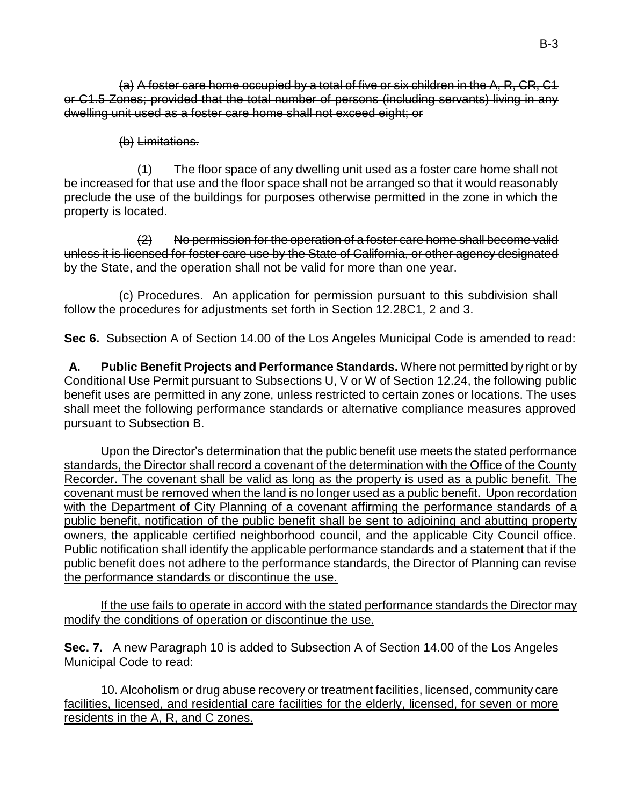(a) A foster care home occupied by a total of five or six children in the A, R, CR, C1 or C1.5 Zones; provided that the total number of persons (including servants) living in any dwelling unit used as a foster care home shall not exceed eight; or

## (b) Limitations.

(1) The floor space of any dwelling unit used as a foster care home shall not be increased for that use and the floor space shall not be arranged so that it would reasonably preclude the use of the buildings for purposes otherwise permitted in the zone in which the property is located.

(2) No permission for the operation of a foster care home shall become valid unless it is licensed for foster care use by the State of California, or other agency designated by the State, and the operation shall not be valid for more than one year.

(c) Procedures. An application for permission pursuant to this subdivision shall follow the procedures for adjustments set forth in Section 12.28C1, 2 and 3.

**Sec 6.** Subsection A of Section 14.00 of the Los Angeles Municipal Code is amended to read:

**A. Public Benefit Projects and Performance Standards.** Where not permitted by right or by Conditional Use Permit pursuant to Subsections U, V or W of Section 12.24, the following public benefit uses are permitted in any zone, unless restricted to certain zones or locations. The uses shall meet the following performance standards or alternative compliance measures approved pursuant to Subsection B.

Upon the Director's determination that the public benefit use meets the stated performance standards, the Director shall record a covenant of the determination with the Office of the County Recorder. The covenant shall be valid as long as the property is used as a public benefit. The covenant must be removed when the land is no longer used as a public benefit. Upon recordation with the Department of City Planning of a covenant affirming the performance standards of a public benefit, notification of the public benefit shall be sent to adjoining and abutting property owners, the applicable certified neighborhood council, and the applicable City Council office. Public notification shall identify the applicable performance standards and a statement that if the public benefit does not adhere to the performance standards, the Director of Planning can revise the performance standards or discontinue the use.

If the use fails to operate in accord with the stated performance standards the Director may modify the conditions of operation or discontinue the use.

**Sec. 7.** A new Paragraph 10 is added to Subsection A of Section 14.00 of the Los Angeles Municipal Code to read:

10. Alcoholism or drug abuse recovery or treatment facilities, licensed, community care facilities, licensed, and residential care facilities for the elderly, licensed, for seven or more residents in the A, R, and C zones.